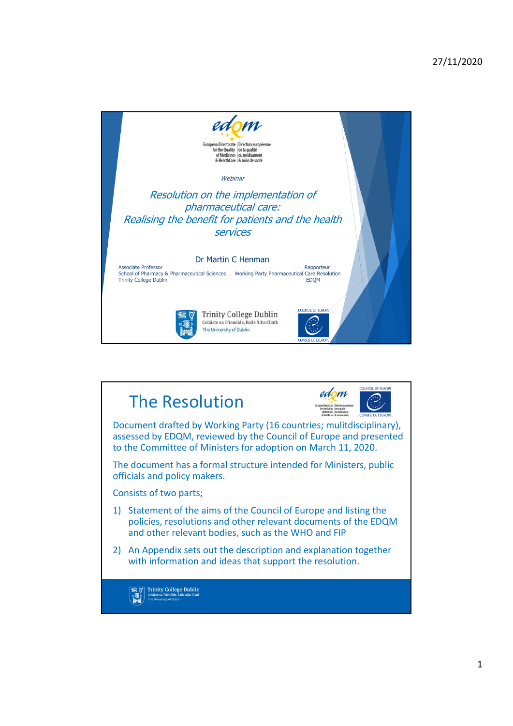

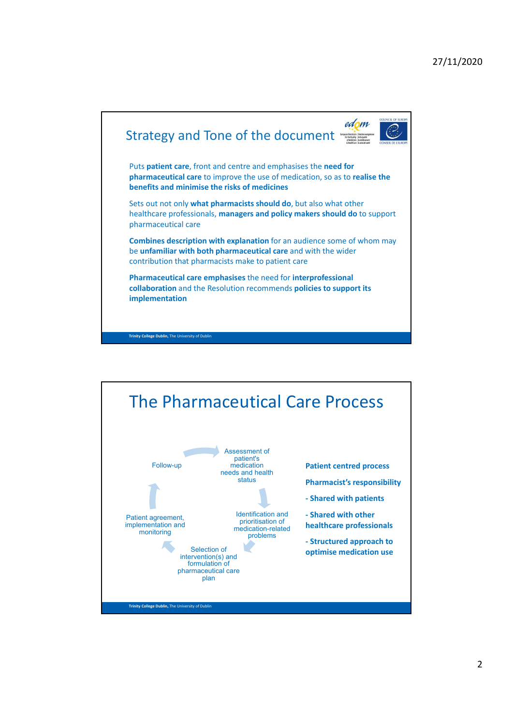

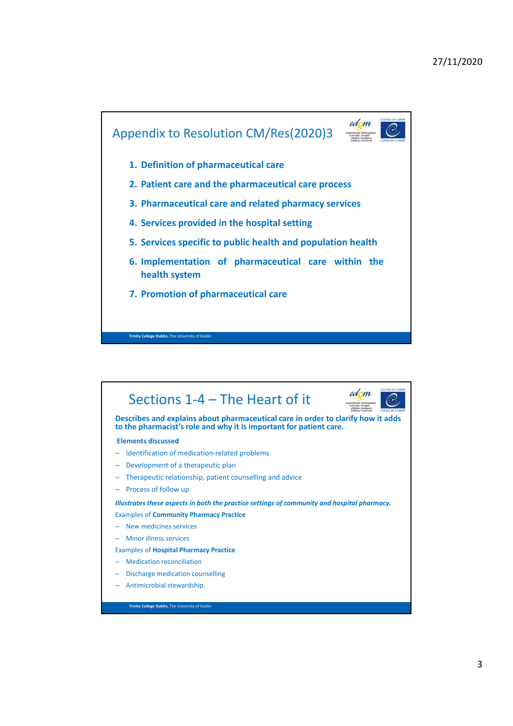## 27/11/2020



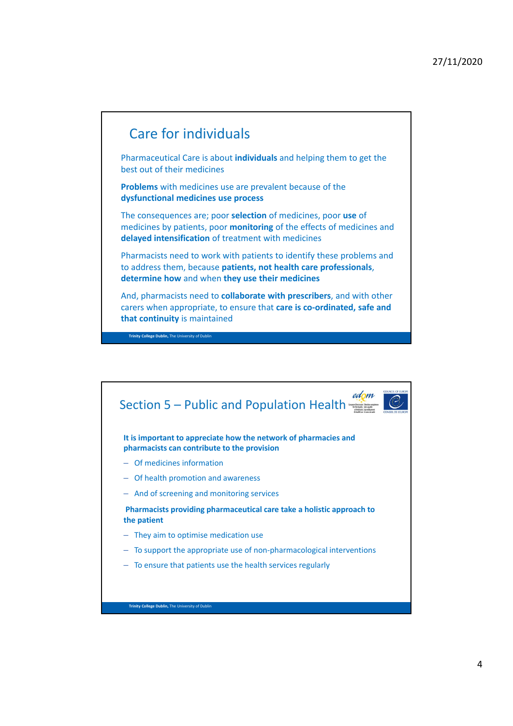## Care for individuals

**Trinity College Dublin,** The University of Dublin

Pharmaceutical Care is about **individuals** and helping them to get the best out of their medicines

**Problems** with medicines use are prevalent because of the **dysfunctional medicines use process** 

The consequences are; poor **selection** of medicines, poor **use** of medicines by patients, poor **monitoring** of the effects of medicines and **delayed intensification** of treatment with medicines

Pharmacists need to work with patients to identify these problems and to address them, because **patients, not health care professionals**, **determine how** and when **they use their medicines**

And, pharmacists need to **collaborate with prescribers**, and with other carers when appropriate, to ensure that **care is co-ordinated, safe and that continuity** is maintained

edom Section 5 – Public and Population Health **It is important to appreciate how the network of pharmacies and pharmacists can contribute to the provision**  – Of medicines information – Of health promotion and awareness – And of screening and monitoring services **Pharmacists providing pharmaceutical care take a holistic approach to the patient** – They aim to optimise medication use – To support the appropriate use of non-pharmacological interventions – To ensure that patients use the health services regularly**Trinity College Dublin,** The University of Dublin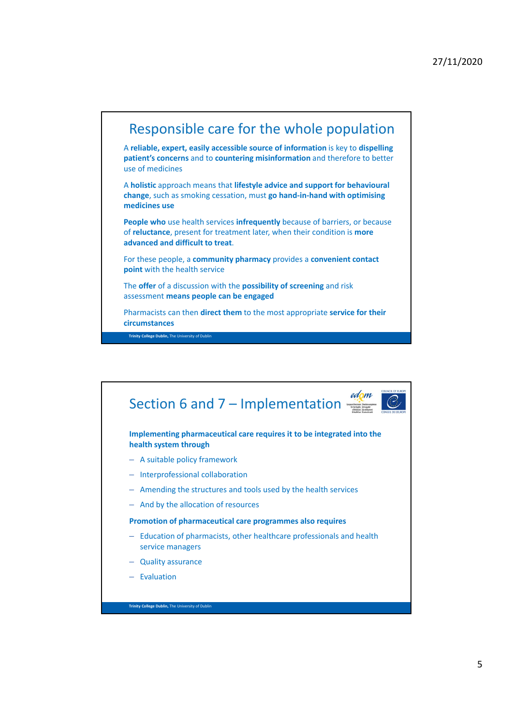

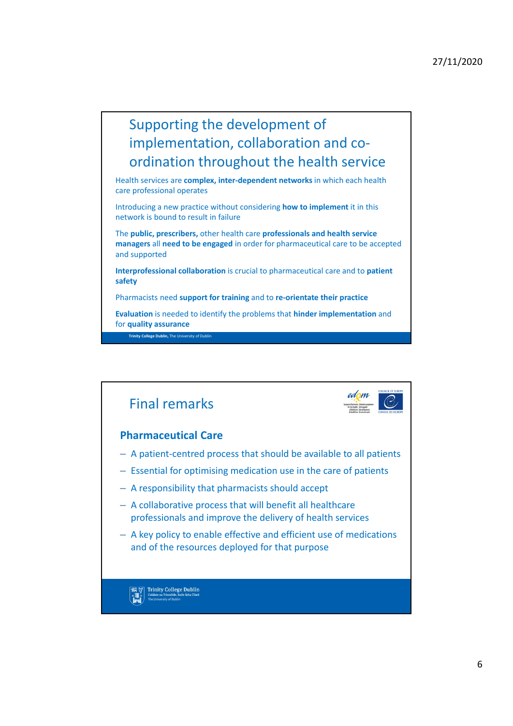## Supporting the development of implementation, collaboration and coordination throughout the health service

Health services are **complex, inter-dependent networks** in which each health care professional operates

Introducing a new practice without considering **how to implement** it in this network is bound to result in failure

The **public, prescribers,** other health care **professionals and health service managers** all **need to be engaged** in order for pharmaceutical care to be accepted and supported

**Interprofessional collaboration** is crucial to pharmaceutical care and to **patient safety**

Pharmacists need **support for training** and to **re-orientate their practice**

**Evaluation** is needed to identify the problems that **hinder implementation** and for **quality assurance**

**Trinity College Dublin,** The University of Dublin